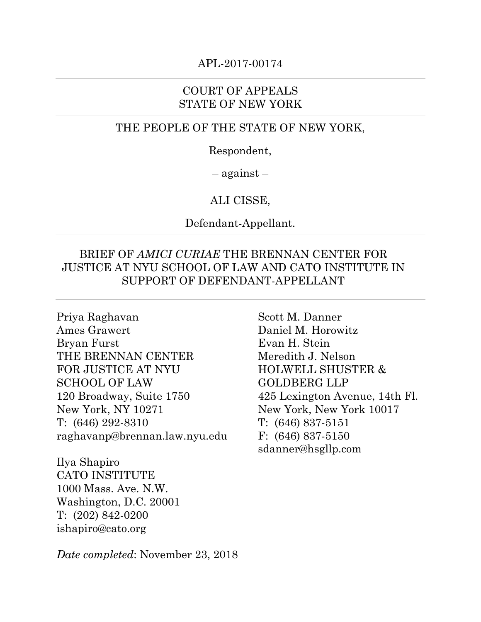#### APL-2017-00174

#### COURT OF APPEALS STATE OF NEW YORK

#### THE PEOPLE OF THE STATE OF NEW YORK,

Respondent,

– against –

#### ALI CISSE,

Defendant-Appellant.

## BRIEF OF *AMICI CURIAE* THE BRENNAN CENTER FOR JUSTICE AT NYU SCHOOL OF LAW AND CATO INSTITUTE IN SUPPORT OF DEFENDANT-APPELLANT

Priya Raghavan Ames Grawert Bryan Furst THE BRENNAN CENTER FOR JUSTICE AT NYU SCHOOL OF LAW 120 Broadway, Suite 1750 New York, NY 10271 T: (646) 292-8310 raghavanp@brennan.law.nyu.edu

Ilya Shapiro CATO INSTITUTE 1000 Mass. Ave. N.W. Washington, D.C. 20001 T: (202) 842-0200 ishapiro@cato.org

Scott M. Danner Daniel M. Horowitz Evan H. Stein Meredith J. Nelson HOLWELL SHUSTER & GOLDBERG LLP 425 Lexington Avenue, 14th Fl. New York, New York 10017 T: (646) 837-5151 F: (646) 837-5150 sdanner@hsgllp.com

*Date completed*: November 23, 2018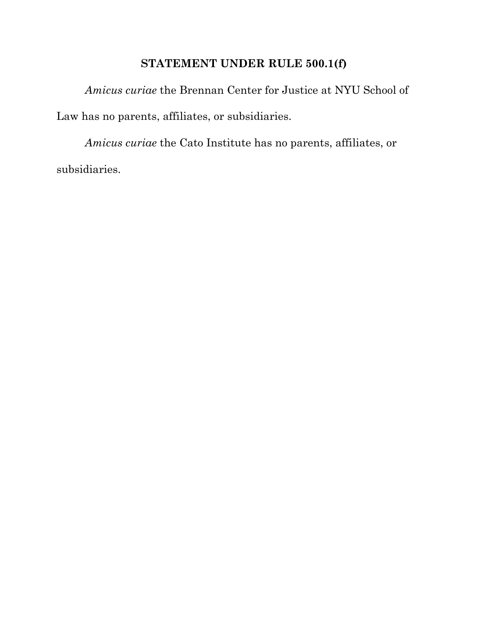## **STATEMENT UNDER RULE 500.1(f)**

*Amicus curiae* the Brennan Center for Justice at NYU School of Law has no parents, affiliates, or subsidiaries.

*Amicus curiae* the Cato Institute has no parents, affiliates, or subsidiaries.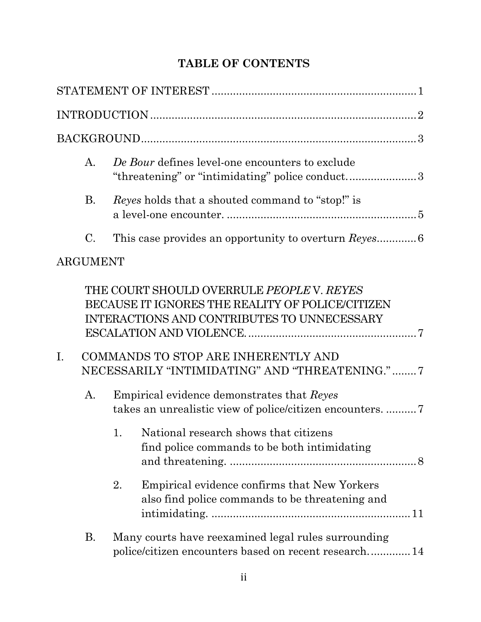# **TABLE OF CONTENTS**

|                | A.              |    | De Bour defines level-one encounters to exclude<br>"threatening" or "intimidating" police conduct3                                                                                                                                     |  |  |  |
|----------------|-----------------|----|----------------------------------------------------------------------------------------------------------------------------------------------------------------------------------------------------------------------------------------|--|--|--|
|                | <b>B.</b>       |    | <i>Reyes</i> holds that a shouted command to "stop!" is                                                                                                                                                                                |  |  |  |
|                | C.              |    |                                                                                                                                                                                                                                        |  |  |  |
|                | <b>ARGUMENT</b> |    |                                                                                                                                                                                                                                        |  |  |  |
| $\mathbf{I}$ . |                 |    | THE COURT SHOULD OVERRULE PEOPLE V. REYES<br>BECAUSE IT IGNORES THE REALITY OF POLICE/CITIZEN<br>INTERACTIONS AND CONTRIBUTES TO UNNECESSARY<br>COMMANDS TO STOP ARE INHERENTLY AND<br>NECESSARILY "INTIMIDATING" AND "THREATENING." 7 |  |  |  |
|                | A.              |    | Empirical evidence demonstrates that Reyes                                                                                                                                                                                             |  |  |  |
|                |                 |    | 1. National research shows that citizens<br>find police commands to be both intimidating                                                                                                                                               |  |  |  |
|                |                 | 2. | Empirical evidence confirms that New Yorkers<br>also find police commands to be threatening and                                                                                                                                        |  |  |  |
|                | Β.              |    | Many courts have reexamined legal rules surrounding<br>police/citizen encounters based on recent research 14                                                                                                                           |  |  |  |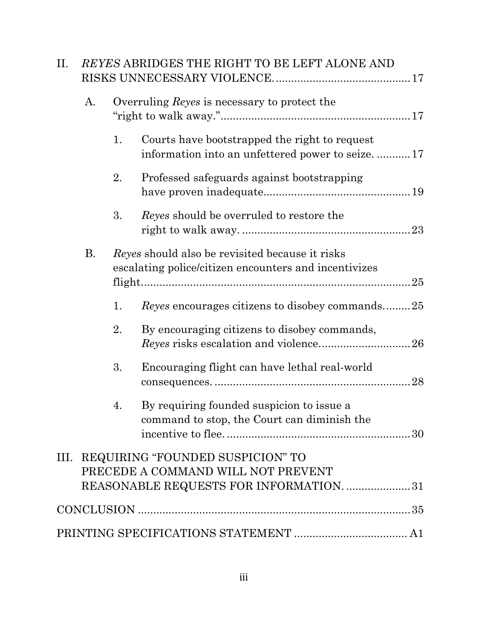| II. |    |    | REYES ABRIDGES THE RIGHT TO BE LEFT ALONE AND                                                                          |
|-----|----|----|------------------------------------------------------------------------------------------------------------------------|
|     | A. |    | Overruling Reyes is necessary to protect the                                                                           |
|     |    | 1. | Courts have bootstrapped the right to request<br>information into an unfettered power to seize17                       |
|     |    | 2. | Professed safeguards against bootstrapping                                                                             |
|     |    | 3. | Reyes should be overruled to restore the                                                                               |
|     | Β. |    | Reyes should also be revisited because it risks<br>escalating police/citizen encounters and incentivizes               |
|     |    | 1. | <i>Reyes</i> encourages citizens to disobey commands25                                                                 |
|     |    | 2. | By encouraging citizens to disobey commands,                                                                           |
|     |    | 3. | Encouraging flight can have lethal real-world                                                                          |
|     |    | 4  | By requiring founded suspicion to issue a<br>command to stop, the Court can diminish the                               |
|     |    |    | III. REQUIRING "FOUNDED SUSPICION" TO<br>PRECEDE A COMMAND WILL NOT PREVENT<br>REASONABLE REQUESTS FOR INFORMATION. 31 |
|     |    |    |                                                                                                                        |
|     |    |    |                                                                                                                        |
|     |    |    |                                                                                                                        |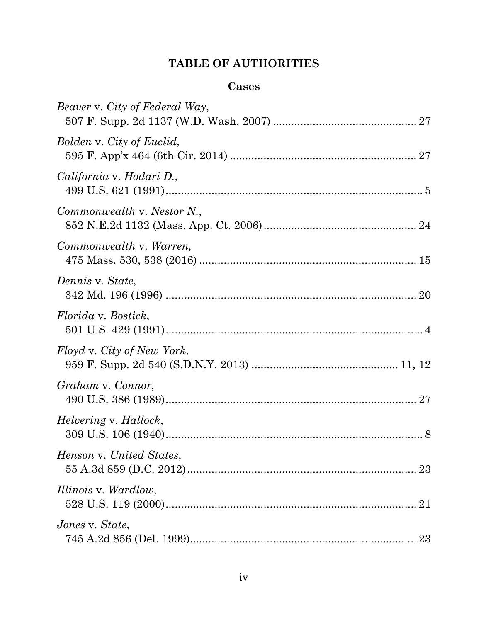# **TABLE OF AUTHORITIES**

## **Cases**

| Beaver v. City of Federal Way, |
|--------------------------------|
| Bolden v. City of Euclid,      |
| California v. Hodari D.,       |
| Commonwealth v. Nestor N.,     |
| Commonwealth v. Warren,        |
| Dennis v. State,               |
| <i>Florida v. Bostick,</i>     |
| Floyd v. City of New York,     |
| Graham v. Connor,              |
| Helvering v. Hallock,          |
| Henson v. United States,       |
| <i>Illinois v. Wardlow,</i>    |
| Jones v. State,<br>23          |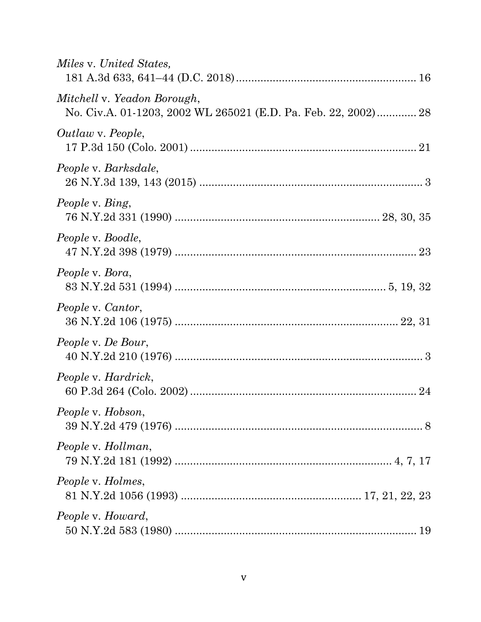| Miles v. United States,                                                                       |
|-----------------------------------------------------------------------------------------------|
| Mitchell v. Yeadon Borough,<br>No. Civ.A. 01-1203, 2002 WL 265021 (E.D. Pa. Feb. 22, 2002) 28 |
| Outlaw v. People,                                                                             |
| People v. Barksdale,                                                                          |
| People v. Bing,                                                                               |
| People v. Boodle,                                                                             |
| People v. Bora,                                                                               |
| People v. Cantor,                                                                             |
| People v. De Bour,                                                                            |
| People v. Hardrick,                                                                           |
| People v. Hobson,                                                                             |
| People v. Hollman,                                                                            |
| <i>People v. Holmes,</i>                                                                      |
| People v. Howard,                                                                             |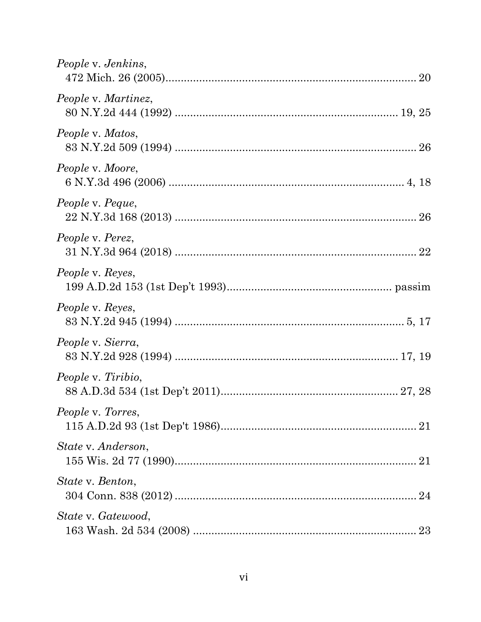| People v. Jenkins,        |
|---------------------------|
| People v. Martinez,       |
| People v. Matos,          |
| People v. Moore,          |
| People v. Peque,          |
| People v. Perez,          |
| <i>People v. Reyes,</i>   |
| People v. Reyes,          |
| People v. Sierra,         |
| <i>People v. Tiribio,</i> |
| <i>People v. Torres,</i>  |
| State v. Anderson,        |
| State v. Benton,          |
| State v. Gatewood,        |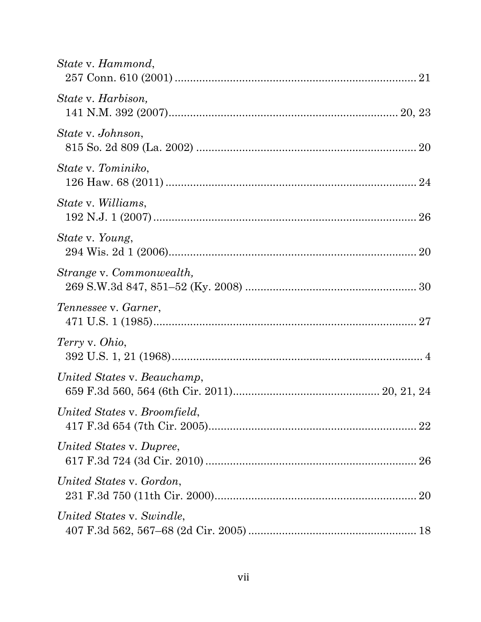| State v. Hammond,            |
|------------------------------|
| State v. Harbison,           |
| State v. Johnson,            |
| State v. Tominiko,           |
| <i>State v. Williams,</i>    |
| <i>State v. Young,</i>       |
| Strange v. Commonwealth,     |
| Tennessee v. Garner,         |
| Terry v. Ohio,               |
| United States v. Beauchamp,  |
| United States v. Broomfield, |
| United States v. Dupree,     |
| United States v. Gordon,     |
| United States v. Swindle,    |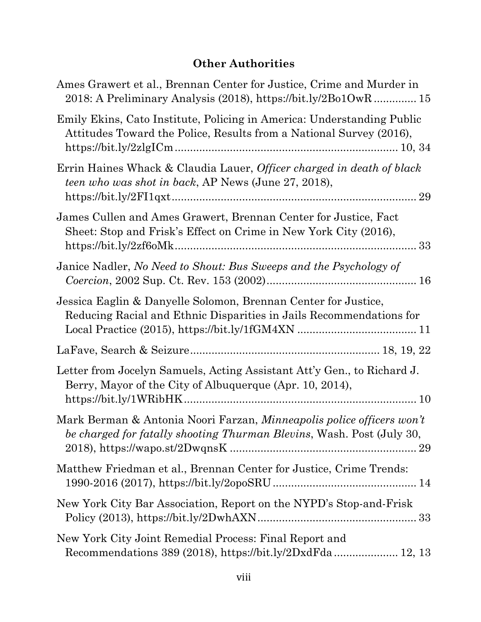# **Other Authorities**

| Ames Grawert et al., Brennan Center for Justice, Crime and Murder in<br>2018: A Preliminary Analysis (2018), https://bit.ly/2Bo1OwR 15               |
|------------------------------------------------------------------------------------------------------------------------------------------------------|
| Emily Ekins, Cato Institute, Policing in America: Understanding Public<br>Attitudes Toward the Police, Results from a National Survey (2016),        |
| Errin Haines Whack & Claudia Lauer, Officer charged in death of black<br><i>teen who was shot in back</i> , AP News (June 27, 2018),                 |
| James Cullen and Ames Grawert, Brennan Center for Justice, Fact<br>Sheet: Stop and Frisk's Effect on Crime in New York City (2016),                  |
| Janice Nadler, No Need to Shout: Bus Sweeps and the Psychology of                                                                                    |
| Jessica Eaglin & Danyelle Solomon, Brennan Center for Justice,<br>Reducing Racial and Ethnic Disparities in Jails Recommendations for                |
|                                                                                                                                                      |
| Letter from Jocelyn Samuels, Acting Assistant Att'y Gen., to Richard J.<br>Berry, Mayor of the City of Albuquerque (Apr. 10, 2014),                  |
| Mark Berman & Antonia Noori Farzan, Minneapolis police officers won't<br>be charged for fatally shooting Thurman Blevins, Wash. Post (July 30,<br>29 |
| Matthew Friedman et al., Brennan Center for Justice, Crime Trends:                                                                                   |
| New York City Bar Association, Report on the NYPD's Stop-and-Frisk                                                                                   |
| New York City Joint Remedial Process: Final Report and                                                                                               |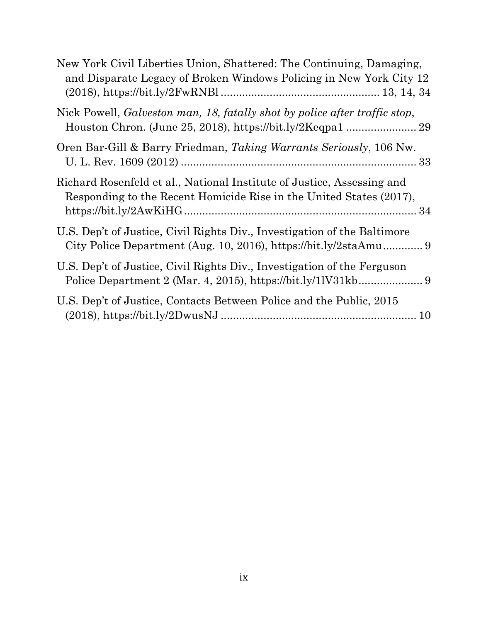| New York Civil Liberties Union, Shattered: The Continuing, Damaging,<br>and Disparate Legacy of Broken Windows Policing in New York City 12   |
|-----------------------------------------------------------------------------------------------------------------------------------------------|
| Nick Powell, Galveston man, 18, fatally shot by police after traffic stop,                                                                    |
| Oren Bar-Gill & Barry Friedman, Taking Warrants Seriously, 106 Nw.                                                                            |
| Richard Rosenfeld et al., National Institute of Justice, Assessing and<br>Responding to the Recent Homicide Rise in the United States (2017), |
| U.S. Dep't of Justice, Civil Rights Div., Investigation of the Baltimore                                                                      |
| U.S. Dep't of Justice, Civil Rights Div., Investigation of the Ferguson                                                                       |
| U.S. Dep't of Justice, Contacts Between Police and the Public, 2015                                                                           |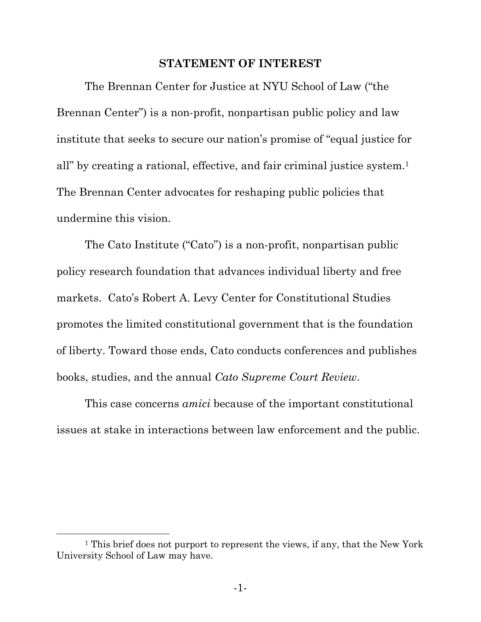#### **STATEMENT OF INTEREST**

The Brennan Center for Justice at NYU School of Law ("the Brennan Center") is a non-profit, nonpartisan public policy and law institute that seeks to secure our nation's promise of "equal justice for all" by creating a rational, effective, and fair criminal justice system.1 The Brennan Center advocates for reshaping public policies that undermine this vision.

The Cato Institute ("Cato") is a non-profit, nonpartisan public policy research foundation that advances individual liberty and free markets. Cato's Robert A. Levy Center for Constitutional Studies promotes the limited constitutional government that is the foundation of liberty. Toward those ends, Cato conducts conferences and publishes books, studies, and the annual *Cato Supreme Court Review*.

This case concerns *amici* because of the important constitutional issues at stake in interactions between law enforcement and the public.

<sup>&</sup>lt;sup>1</sup> This brief does not purport to represent the views, if any, that the New York University School of Law may have.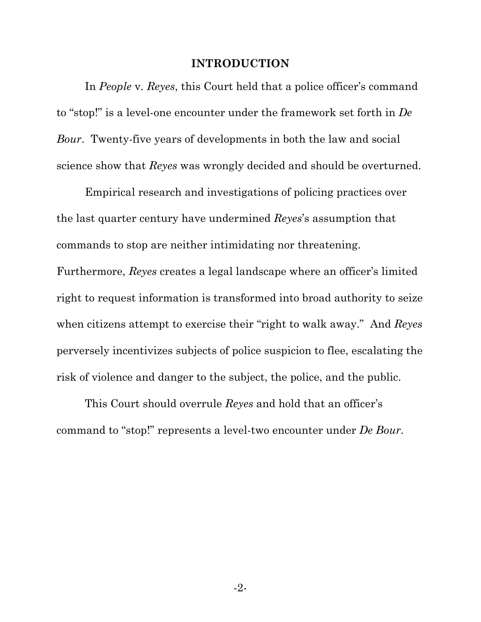#### **INTRODUCTION**

In *People* v. *Reyes*, this Court held that a police officer's command to "stop!" is a level-one encounter under the framework set forth in *De Bour*. Twenty-five years of developments in both the law and social science show that *Reyes* was wrongly decided and should be overturned.

Empirical research and investigations of policing practices over the last quarter century have undermined *Reyes*'s assumption that commands to stop are neither intimidating nor threatening. Furthermore, *Reyes* creates a legal landscape where an officer's limited right to request information is transformed into broad authority to seize when citizens attempt to exercise their "right to walk away." And *Reyes* perversely incentivizes subjects of police suspicion to flee, escalating the risk of violence and danger to the subject, the police, and the public.

This Court should overrule *Reyes* and hold that an officer's command to "stop!" represents a level-two encounter under *De Bour*.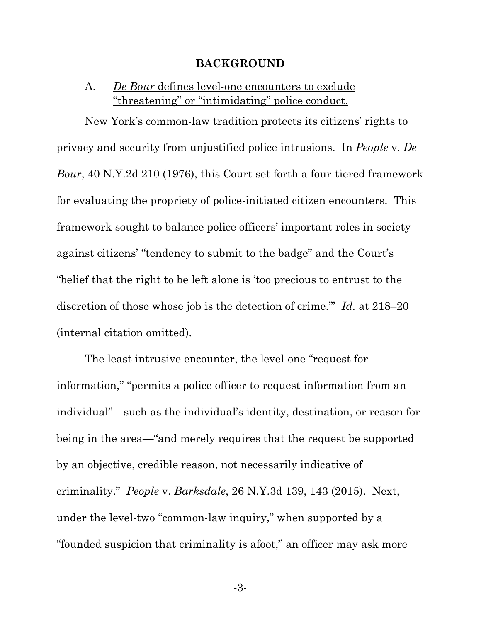#### **BACKGROUND**

## A. *De Bour* defines level-one encounters to exclude "threatening" or "intimidating" police conduct.

New York's common-law tradition protects its citizens' rights to privacy and security from unjustified police intrusions. In *People* v. *De Bour*, 40 N.Y.2d 210 (1976), this Court set forth a four-tiered framework for evaluating the propriety of police-initiated citizen encounters. This framework sought to balance police officers' important roles in society against citizens' "tendency to submit to the badge" and the Court's "belief that the right to be left alone is 'too precious to entrust to the discretion of those whose job is the detection of crime.'" *Id.* at 218–20 (internal citation omitted).

The least intrusive encounter, the level-one "request for information," "permits a police officer to request information from an individual"—such as the individual's identity, destination, or reason for being in the area—"and merely requires that the request be supported by an objective, credible reason, not necessarily indicative of criminality." *People* v. *Barksdale*, 26 N.Y.3d 139, 143 (2015). Next, under the level-two "common-law inquiry," when supported by a "founded suspicion that criminality is afoot," an officer may ask more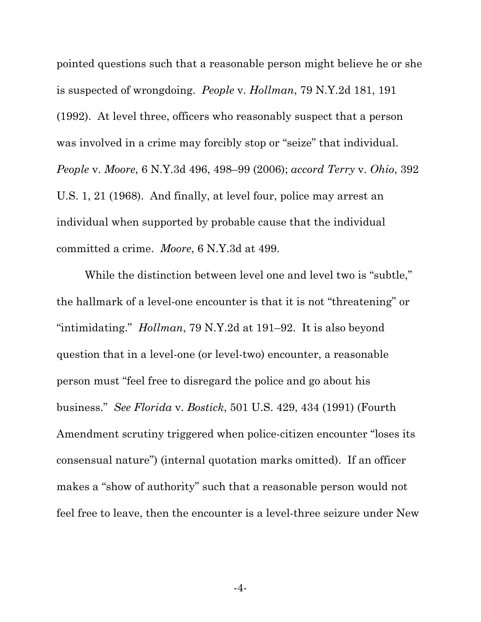pointed questions such that a reasonable person might believe he or she is suspected of wrongdoing. *People* v. *Hollman*, 79 N.Y.2d 181, 191 (1992). At level three, officers who reasonably suspect that a person was involved in a crime may forcibly stop or "seize" that individual. *People* v. *Moore*, 6 N.Y.3d 496, 498–99 (2006); *accord Terry* v. *Ohio*, 392 U.S. 1, 21 (1968). And finally, at level four, police may arrest an individual when supported by probable cause that the individual committed a crime. *Moore*, 6 N.Y.3d at 499.

While the distinction between level one and level two is "subtle," the hallmark of a level-one encounter is that it is not "threatening" or "intimidating." *Hollman*, 79 N.Y.2d at 191–92. It is also beyond question that in a level-one (or level-two) encounter, a reasonable person must "feel free to disregard the police and go about his business." *See Florida* v. *Bostick*, 501 U.S. 429, 434 (1991) (Fourth Amendment scrutiny triggered when police-citizen encounter "loses its consensual nature") (internal quotation marks omitted). If an officer makes a "show of authority" such that a reasonable person would not feel free to leave, then the encounter is a level-three seizure under New

-4-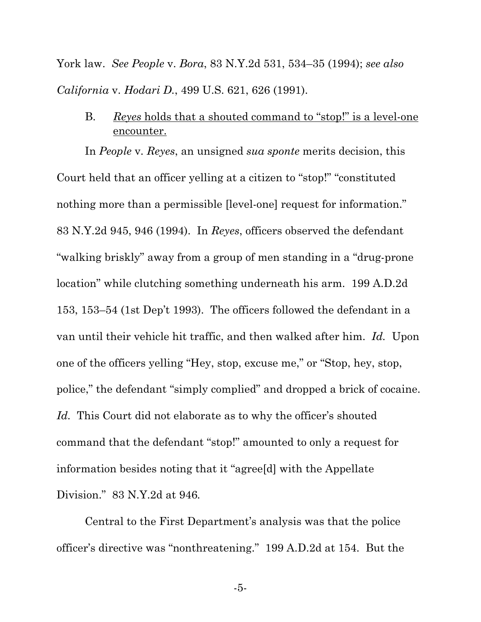York law. *See People* v. *Bora*, 83 N.Y.2d 531, 534–35 (1994); *see also California* v. *Hodari D.*, 499 U.S. 621, 626 (1991).

B. *Reyes* holds that a shouted command to "stop!" is a level-one encounter.

In *People* v. *Reyes*, an unsigned *sua sponte* merits decision, this Court held that an officer yelling at a citizen to "stop!" "constituted nothing more than a permissible [level-one] request for information." 83 N.Y.2d 945, 946 (1994). In *Reyes*, officers observed the defendant "walking briskly" away from a group of men standing in a "drug-prone location" while clutching something underneath his arm. 199 A.D.2d 153, 153–54 (1st Dep't 1993). The officers followed the defendant in a van until their vehicle hit traffic, and then walked after him. *Id.* Upon one of the officers yelling "Hey, stop, excuse me," or "Stop, hey, stop, police," the defendant "simply complied" and dropped a brick of cocaine. Id. This Court did not elaborate as to why the officer's shouted command that the defendant "stop!" amounted to only a request for information besides noting that it "agree[d] with the Appellate Division." 83 N.Y.2d at 946*.*

Central to the First Department's analysis was that the police officer's directive was "nonthreatening."199 A.D.2d at 154. But the

-5-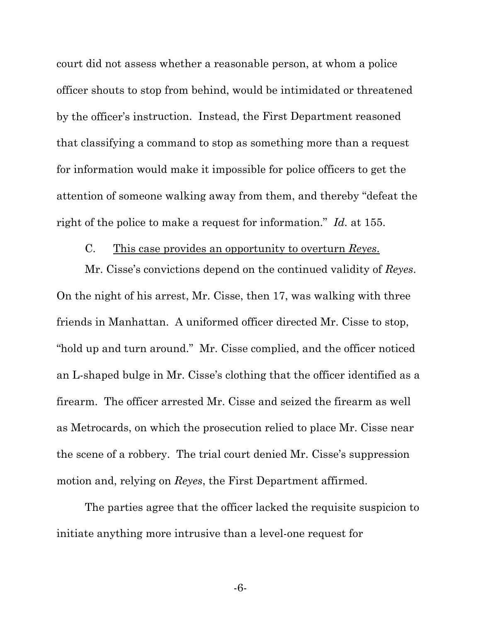court did not assess whether a reasonable person, at whom a police officer shouts to stop from behind, would be intimidated or threatened by the officer's instruction. Instead, the First Department reasoned that classifying a command to stop as something more than a request for information would make it impossible for police officers to get the attention of someone walking away from them, and thereby "defeat the right of the police to make a request for information." *Id.* at 155.

#### C. This case provides an opportunity to overturn *Reyes*.

Mr. Cisse's convictions depend on the continued validity of *Reyes*. On the night of his arrest, Mr. Cisse, then 17, was walking with three friends in Manhattan. A uniformed officer directed Mr. Cisse to stop, "hold up and turn around." Mr. Cisse complied, and the officer noticed an L-shaped bulge in Mr. Cisse's clothing that the officer identified as a firearm. The officer arrested Mr. Cisse and seized the firearm as well as Metrocards, on which the prosecution relied to place Mr. Cisse near the scene of a robbery. The trial court denied Mr. Cisse's suppression motion and, relying on *Reyes*, the First Department affirmed.

The parties agree that the officer lacked the requisite suspicion to initiate anything more intrusive than a level-one request for

-6-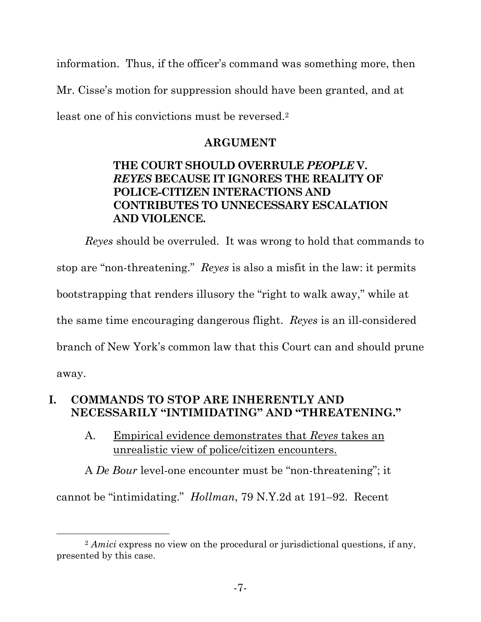information. Thus, if the officer's command was something more, then Mr. Cisse's motion for suppression should have been granted, and at least one of his convictions must be reversed.2

## **ARGUMENT**

# **THE COURT SHOULD OVERRULE** *PEOPLE* **V.**  *REYES* **BECAUSE IT IGNORES THE REALITY OF POLICE-CITIZEN INTERACTIONS AND CONTRIBUTES TO UNNECESSARY ESCALATION AND VIOLENCE.**

*Reyes* should be overruled. It was wrong to hold that commands to stop are "non-threatening." *Reyes* is also a misfit in the law: it permits bootstrapping that renders illusory the "right to walk away," while at the same time encouraging dangerous flight. *Reyes* is an ill-considered branch of New York's common law that this Court can and should prune away.

# **I. COMMANDS TO STOP ARE INHERENTLY AND NECESSARILY "INTIMIDATING" AND "THREATENING."**

A. Empirical evidence demonstrates that *Reyes* takes an unrealistic view of police/citizen encounters.

A *De Bour* level-one encounter must be "non-threatening"; it cannot be "intimidating." *Hollman*, 79 N.Y.2d at 191–92. Recent

 <sup>2</sup> *Amici* express no view on the procedural or jurisdictional questions, if any, presented by this case.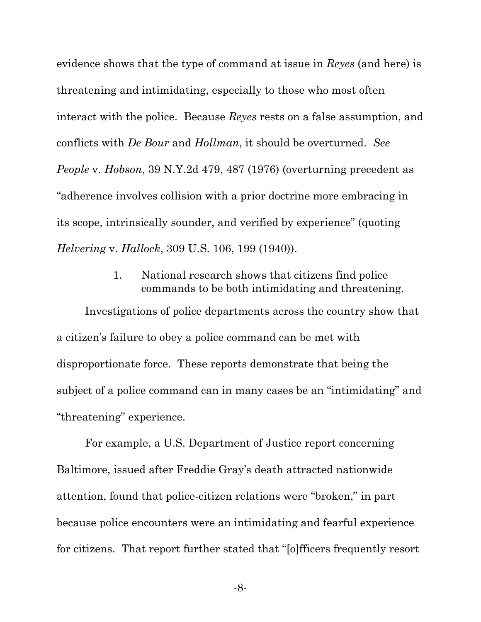evidence shows that the type of command at issue in *Reyes* (and here) is threatening and intimidating, especially to those who most often interact with the police. Because *Reyes* rests on a false assumption, and conflicts with *De Bour* and *Hollman*, it should be overturned. *See People* v. *Hobson*, 39 N.Y.2d 479, 487 (1976) (overturning precedent as "adherence involves collision with a prior doctrine more embracing in its scope, intrinsically sounder, and verified by experience" (quoting *Helvering* v. *Hallock*, 309 U.S. 106, 199 (1940)).

## 1. National research shows that citizens find police commands to be both intimidating and threatening.

Investigations of police departments across the country show that a citizen's failure to obey a police command can be met with disproportionate force. These reports demonstrate that being the subject of a police command can in many cases be an "intimidating" and "threatening" experience.

For example, a U.S. Department of Justice report concerning Baltimore, issued after Freddie Gray's death attracted nationwide attention, found that police-citizen relations were "broken," in part because police encounters were an intimidating and fearful experience for citizens. That report further stated that "[o]fficers frequently resort

-8-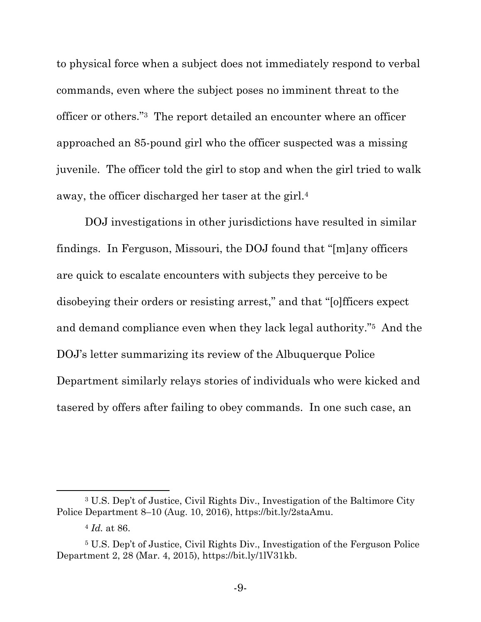to physical force when a subject does not immediately respond to verbal commands, even where the subject poses no imminent threat to the officer or others."3 The report detailed an encounter where an officer approached an 85-pound girl who the officer suspected was a missing juvenile. The officer told the girl to stop and when the girl tried to walk away, the officer discharged her taser at the girl.4

DOJ investigations in other jurisdictions have resulted in similar findings. In Ferguson, Missouri, the DOJ found that "[m]any officers are quick to escalate encounters with subjects they perceive to be disobeying their orders or resisting arrest," and that "[o]fficers expect and demand compliance even when they lack legal authority."5 And the DOJ's letter summarizing its review of the Albuquerque Police Department similarly relays stories of individuals who were kicked and tasered by offers after failing to obey commands. In one such case, an

<sup>3</sup> U.S. Dep't of Justice, Civil Rights Div., Investigation of the Baltimore City Police Department 8–10 (Aug. 10, 2016), https://bit.ly/2staAmu.

<sup>4</sup> *Id.* at 86.

<sup>5</sup> U.S. Dep't of Justice, Civil Rights Div., Investigation of the Ferguson Police Department 2, 28 (Mar. 4, 2015), https://bit.ly/1lV31kb.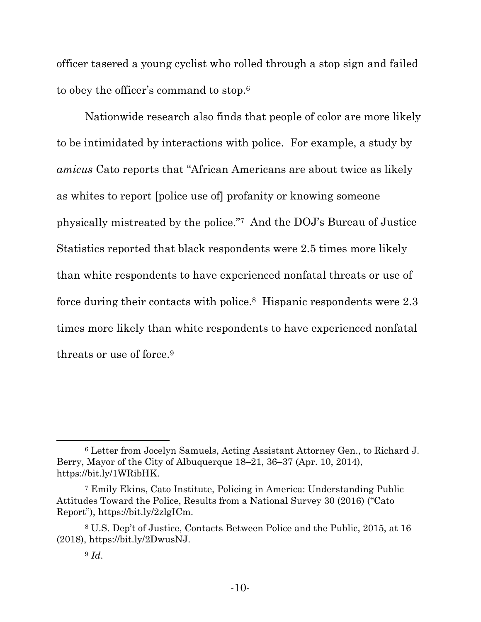officer tasered a young cyclist who rolled through a stop sign and failed to obey the officer's command to stop.6

Nationwide research also finds that people of color are more likely to be intimidated by interactions with police. For example, a study by *amicus* Cato reports that "African Americans are about twice as likely as whites to report [police use of] profanity or knowing someone physically mistreated by the police."7 And the DOJ's Bureau of Justice Statistics reported that black respondents were 2.5 times more likely than white respondents to have experienced nonfatal threats or use of force during their contacts with police.8 Hispanic respondents were 2.3 times more likely than white respondents to have experienced nonfatal threats or use of force.9

<sup>6</sup> Letter from Jocelyn Samuels, Acting Assistant Attorney Gen., to Richard J. Berry, Mayor of the City of Albuquerque 18–21, 36–37 (Apr. 10, 2014), https://bit.ly/1WRibHK.

<sup>7</sup> Emily Ekins, Cato Institute, Policing in America: Understanding Public Attitudes Toward the Police, Results from a National Survey 30 (2016) ("Cato Report"), https://bit.ly/2zlgICm.

<sup>8</sup> U.S. Dep't of Justice, Contacts Between Police and the Public, 2015, at 16 (2018), https://bit.ly/2DwusNJ.

<sup>9</sup> *Id*.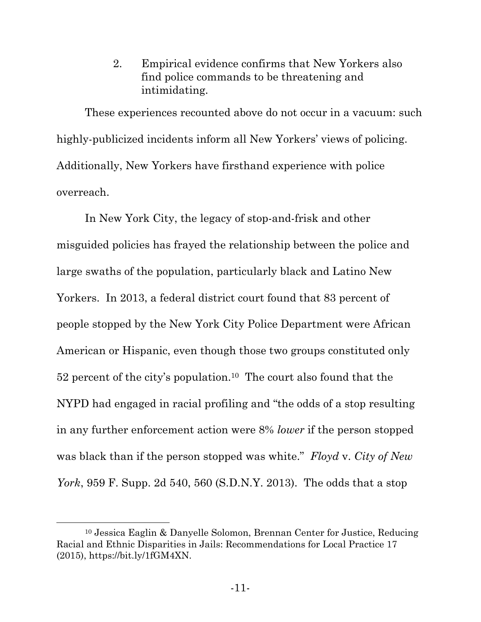2. Empirical evidence confirms that New Yorkers also find police commands to be threatening and intimidating.

These experiences recounted above do not occur in a vacuum: such highly-publicized incidents inform all New Yorkers' views of policing. Additionally, New Yorkers have firsthand experience with police overreach.

In New York City, the legacy of stop-and-frisk and other misguided policies has frayed the relationship between the police and large swaths of the population, particularly black and Latino New Yorkers. In 2013, a federal district court found that 83 percent of people stopped by the New York City Police Department were African American or Hispanic, even though those two groups constituted only 52 percent of the city's population.10 The court also found that the NYPD had engaged in racial profiling and "the odds of a stop resulting in any further enforcement action were 8% *lower* if the person stopped was black than if the person stopped was white." *Floyd* v. *City of New York*, 959 F. Supp. 2d 540, 560 (S.D.N.Y. 2013). The odds that a stop

<sup>10</sup> Jessica Eaglin & Danyelle Solomon, Brennan Center for Justice, Reducing Racial and Ethnic Disparities in Jails: Recommendations for Local Practice 17 (2015), https://bit.ly/1fGM4XN.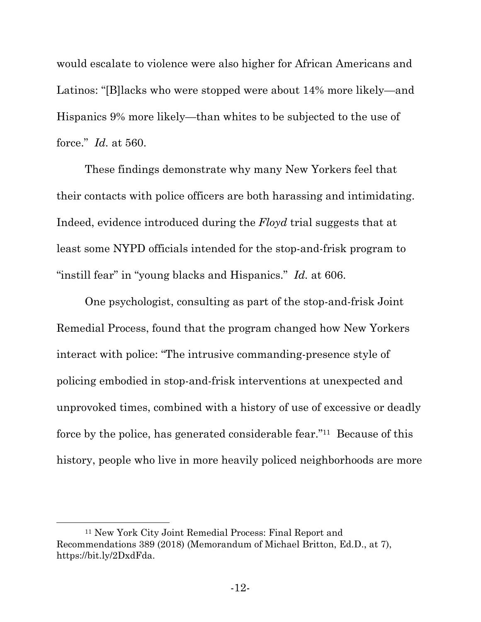would escalate to violence were also higher for African Americans and Latinos: "[B] lacks who were stopped were about 14% more likely—and Hispanics 9% more likely—than whites to be subjected to the use of force." *Id.* at 560.

These findings demonstrate why many New Yorkers feel that their contacts with police officers are both harassing and intimidating. Indeed, evidence introduced during the *Floyd* trial suggests that at least some NYPD officials intended for the stop-and-frisk program to "instill fear" in "young blacks and Hispanics." *Id.* at 606.

One psychologist, consulting as part of the stop-and-frisk Joint Remedial Process, found that the program changed how New Yorkers interact with police: "The intrusive commanding-presence style of policing embodied in stop-and-frisk interventions at unexpected and unprovoked times, combined with a history of use of excessive or deadly force by the police, has generated considerable fear."11 Because of this history, people who live in more heavily policed neighborhoods are more

<sup>11</sup> New York City Joint Remedial Process: Final Report and Recommendations 389 (2018) (Memorandum of Michael Britton, Ed.D., at 7), https://bit.ly/2DxdFda.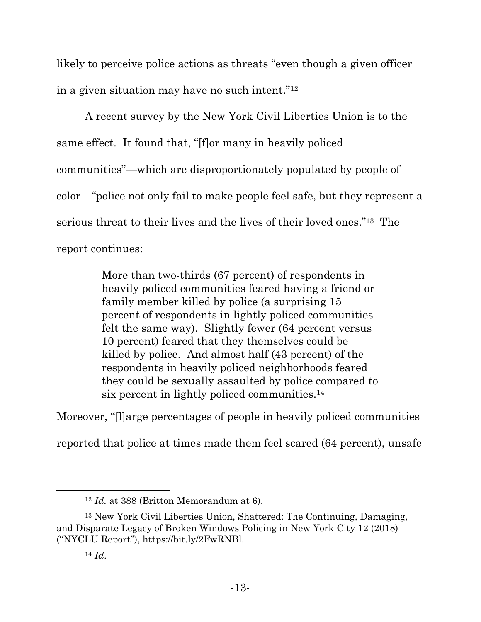likely to perceive police actions as threats "even though a given officer in a given situation may have no such intent."12

A recent survey by the New York Civil Liberties Union is to the same effect. It found that, "[f]or many in heavily policed communities"—which are disproportionately populated by people of color—"police not only fail to make people feel safe, but they represent a serious threat to their lives and the lives of their loved ones."13 The report continues:

> More than two-thirds (67 percent) of respondents in heavily policed communities feared having a friend or family member killed by police (a surprising 15 percent of respondents in lightly policed communities felt the same way). Slightly fewer (64 percent versus 10 percent) feared that they themselves could be killed by police. And almost half (43 percent) of the respondents in heavily policed neighborhoods feared they could be sexually assaulted by police compared to six percent in lightly policed communities.14

Moreover, "[l]arge percentages of people in heavily policed communities

reported that police at times made them feel scared (64 percent), unsafe

 <sup>12</sup> *Id.* at 388 (Britton Memorandum at 6).

<sup>13</sup> New York Civil Liberties Union, Shattered: The Continuing, Damaging, and Disparate Legacy of Broken Windows Policing in New York City 12 (2018) ("NYCLU Report"), https://bit.ly/2FwRNBl.

<sup>14</sup> *Id*.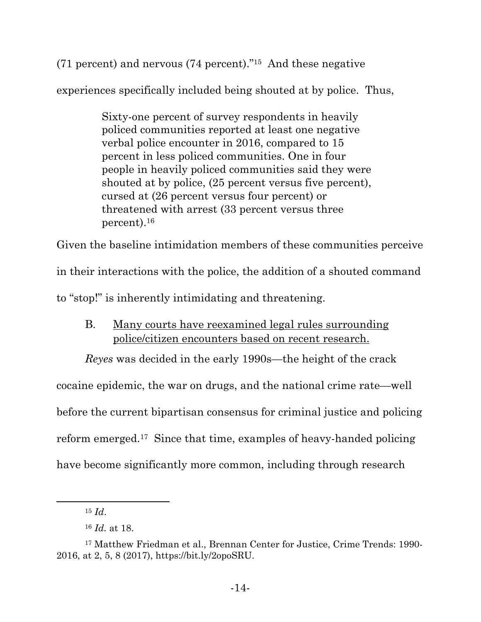(71 percent) and nervous (74 percent)."15 And these negative

experiences specifically included being shouted at by police. Thus,

Sixty-one percent of survey respondents in heavily policed communities reported at least one negative verbal police encounter in 2016, compared to 15 percent in less policed communities. One in four people in heavily policed communities said they were shouted at by police, (25 percent versus five percent), cursed at (26 percent versus four percent) or threatened with arrest (33 percent versus three percent).16

Given the baseline intimidation members of these communities perceive

in their interactions with the police, the addition of a shouted command

to "stop!" is inherently intimidating and threatening.

# B. Many courts have reexamined legal rules surrounding police/citizen encounters based on recent research.

*Reyes* was decided in the early 1990s—the height of the crack cocaine epidemic, the war on drugs, and the national crime rate—well before the current bipartisan consensus for criminal justice and policing reform emerged.17 Since that time, examples of heavy-handed policing have become significantly more common, including through research

 <sup>15</sup> *Id*.

<sup>16</sup> *Id.* at 18.

<sup>17</sup> Matthew Friedman et al., Brennan Center for Justice, Crime Trends: 1990- 2016, at 2, 5, 8 (2017), https://bit.ly/2opoSRU.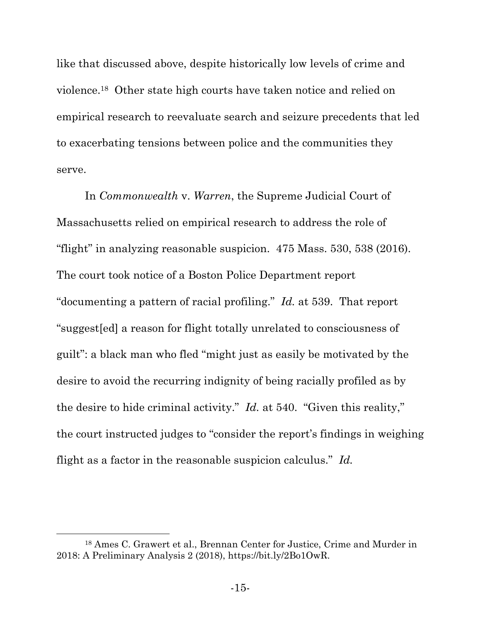like that discussed above, despite historically low levels of crime and violence.18 Other state high courts have taken notice and relied on empirical research to reevaluate search and seizure precedents that led to exacerbating tensions between police and the communities they serve.

In *Commonwealth* v. *Warren*, the Supreme Judicial Court of Massachusetts relied on empirical research to address the role of "flight" in analyzing reasonable suspicion. 475 Mass. 530, 538 (2016). The court took notice of a Boston Police Department report "documenting a pattern of racial profiling." *Id.* at 539. That report "suggest[ed] a reason for flight totally unrelated to consciousness of guilt": a black man who fled "might just as easily be motivated by the desire to avoid the recurring indignity of being racially profiled as by the desire to hide criminal activity." *Id.* at 540. "Given this reality," the court instructed judges to "consider the report's findings in weighing flight as a factor in the reasonable suspicion calculus." *Id.*

<sup>18</sup> Ames C. Grawert et al., Brennan Center for Justice, Crime and Murder in 2018: A Preliminary Analysis 2 (2018), https://bit.ly/2Bo1OwR.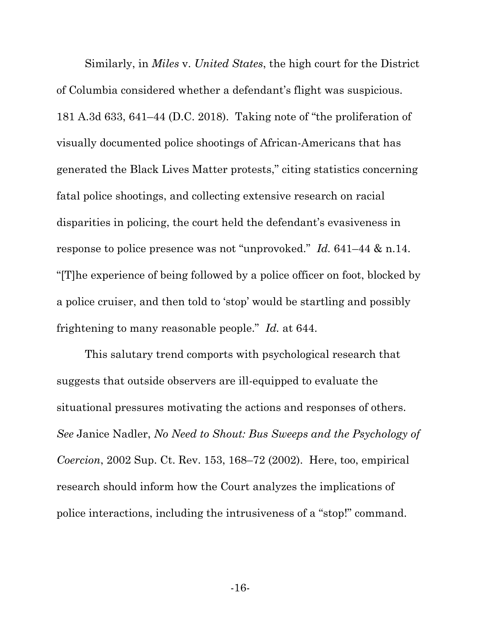Similarly, in *Miles* v. *United States*, the high court for the District of Columbia considered whether a defendant's flight was suspicious. 181 A.3d 633, 641–44 (D.C. 2018). Taking note of "the proliferation of visually documented police shootings of African-Americans that has generated the Black Lives Matter protests," citing statistics concerning fatal police shootings, and collecting extensive research on racial disparities in policing, the court held the defendant's evasiveness in response to police presence was not "unprovoked." *Id.* 641–44 & n.14. "[T]he experience of being followed by a police officer on foot, blocked by a police cruiser, and then told to 'stop' would be startling and possibly frightening to many reasonable people." *Id.* at 644.

This salutary trend comports with psychological research that suggests that outside observers are ill-equipped to evaluate the situational pressures motivating the actions and responses of others. *See* Janice Nadler, *No Need to Shout: Bus Sweeps and the Psychology of Coercion*, 2002 Sup. Ct. Rev. 153, 168–72 (2002). Here, too, empirical research should inform how the Court analyzes the implications of police interactions, including the intrusiveness of a "stop!" command.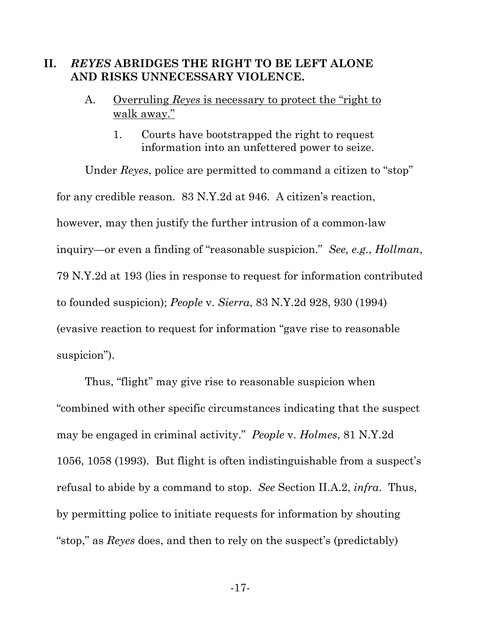#### **II.** *REYES* **ABRIDGES THE RIGHT TO BE LEFT ALONE AND RISKS UNNECESSARY VIOLENCE.**

- A. Overruling *Reyes* is necessary to protect the "right to walk away."
	- 1. Courts have bootstrapped the right to request information into an unfettered power to seize.

Under *Reyes*, police are permitted to command a citizen to "stop" for any credible reason. 83 N.Y.2d at 946. A citizen's reaction, however, may then justify the further intrusion of a common-law inquiry—or even a finding of "reasonable suspicion." *See, e.g.*, *Hollman*, 79 N.Y.2d at 193 (lies in response to request for information contributed to founded suspicion); *People* v. *Sierra*, 83 N.Y.2d 928, 930 (1994) (evasive reaction to request for information "gave rise to reasonable suspicion").

Thus, "flight" may give rise to reasonable suspicion when "combined with other specific circumstances indicating that the suspect may be engaged in criminal activity." *People* v. *Holmes*, 81 N.Y.2d 1056, 1058 (1993). But flight is often indistinguishable from a suspect's refusal to abide by a command to stop. *See* Section II.A.2, *infra*. Thus, by permitting police to initiate requests for information by shouting "stop," as *Reyes* does, and then to rely on the suspect's (predictably)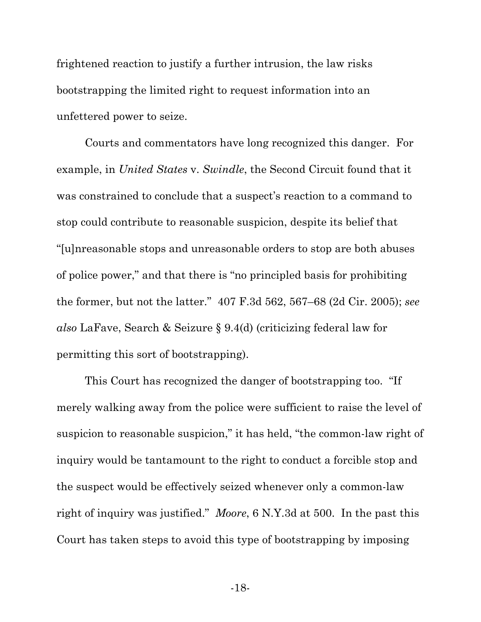frightened reaction to justify a further intrusion, the law risks bootstrapping the limited right to request information into an unfettered power to seize.

Courts and commentators have long recognized this danger. For example, in *United States* v. *Swindle*, the Second Circuit found that it was constrained to conclude that a suspect's reaction to a command to stop could contribute to reasonable suspicion, despite its belief that "[u]nreasonable stops and unreasonable orders to stop are both abuses of police power," and that there is "no principled basis for prohibiting the former, but not the latter." 407 F.3d 562, 567–68 (2d Cir. 2005); *see also* LaFave, Search & Seizure § 9.4(d) (criticizing federal law for permitting this sort of bootstrapping).

This Court has recognized the danger of bootstrapping too. "If merely walking away from the police were sufficient to raise the level of suspicion to reasonable suspicion," it has held, "the common-law right of inquiry would be tantamount to the right to conduct a forcible stop and the suspect would be effectively seized whenever only a common-law right of inquiry was justified." *Moore*, 6 N.Y.3d at 500. In the past this Court has taken steps to avoid this type of bootstrapping by imposing

-18-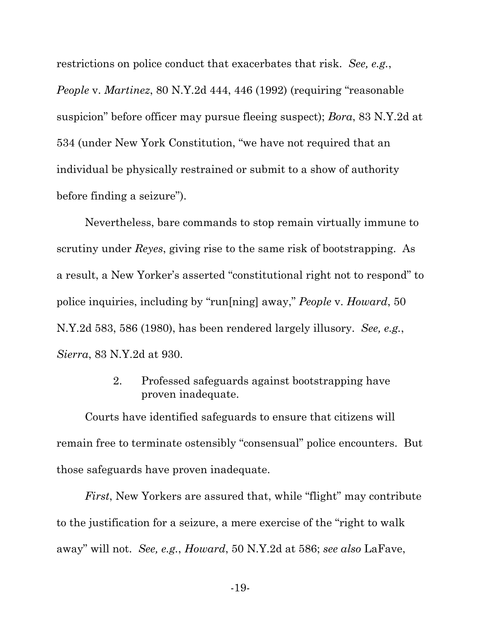restrictions on police conduct that exacerbates that risk. *See, e.g.*,

*People* v. *Martinez*, 80 N.Y.2d 444, 446 (1992) (requiring "reasonable suspicion" before officer may pursue fleeing suspect); *Bora*, 83 N.Y.2d at 534 (under New York Constitution, "we have not required that an individual be physically restrained or submit to a show of authority before finding a seizure").

Nevertheless, bare commands to stop remain virtually immune to scrutiny under *Reyes*, giving rise to the same risk of bootstrapping. As a result, a New Yorker's asserted "constitutional right not to respond" to police inquiries, including by "run[ning] away," *People* v. *Howard*, 50 N.Y.2d 583, 586 (1980), has been rendered largely illusory. *See, e.g.*, *Sierra*, 83 N.Y.2d at 930.

> 2. Professed safeguards against bootstrapping have proven inadequate.

Courts have identified safeguards to ensure that citizens will remain free to terminate ostensibly "consensual" police encounters. But those safeguards have proven inadequate.

*First*, New Yorkers are assured that, while "flight" may contribute to the justification for a seizure, a mere exercise of the "right to walk away" will not. *See, e.g.*, *Howard*, 50 N.Y.2d at 586; *see also* LaFave,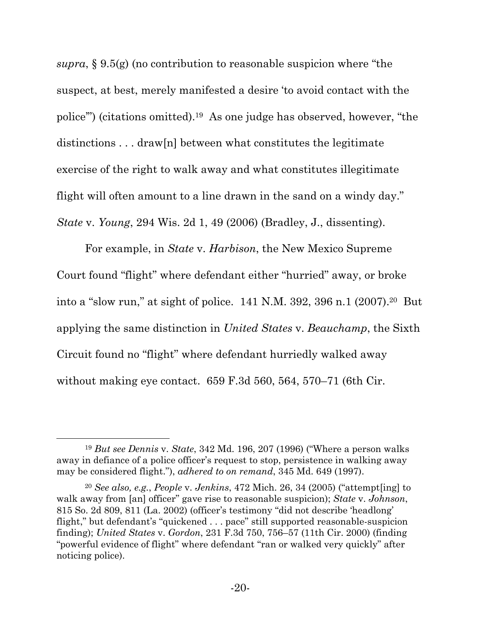*supra*, § 9.5(g) (no contribution to reasonable suspicion where "the suspect, at best, merely manifested a desire 'to avoid contact with the police'") (citations omitted).19 As one judge has observed, however, "the distinctions . . . draw[n] between what constitutes the legitimate exercise of the right to walk away and what constitutes illegitimate flight will often amount to a line drawn in the sand on a windy day." *State* v. *Young*, 294 Wis. 2d 1, 49 (2006) (Bradley, J., dissenting).

For example, in *State* v. *Harbison*, the New Mexico Supreme Court found "flight" where defendant either "hurried" away, or broke into a "slow run," at sight of police. 141 N.M. 392, 396 n.1 (2007).20 But applying the same distinction in *United States* v. *Beauchamp*, the Sixth Circuit found no "flight" where defendant hurriedly walked away without making eye contact. 659 F.3d 560, 564, 570–71 (6th Cir.

<sup>19</sup> *But see Dennis* v. *State*, 342 Md. 196, 207 (1996) ("Where a person walks away in defiance of a police officer's request to stop, persistence in walking away may be considered flight."), *adhered to on remand*, 345 Md. 649 (1997).

<sup>20</sup> *See also, e.g.*, *People* v. *Jenkins*, 472 Mich. 26, 34 (2005) ("attempt[ing] to walk away from [an] officer" gave rise to reasonable suspicion); *State* v. *Johnson*, 815 So. 2d 809, 811 (La. 2002) (officer's testimony "did not describe 'headlong' flight," but defendant's "quickened . . . pace" still supported reasonable-suspicion finding); *United States* v. *Gordon*, 231 F.3d 750, 756–57 (11th Cir. 2000) (finding "powerful evidence of flight" where defendant "ran or walked very quickly" after noticing police).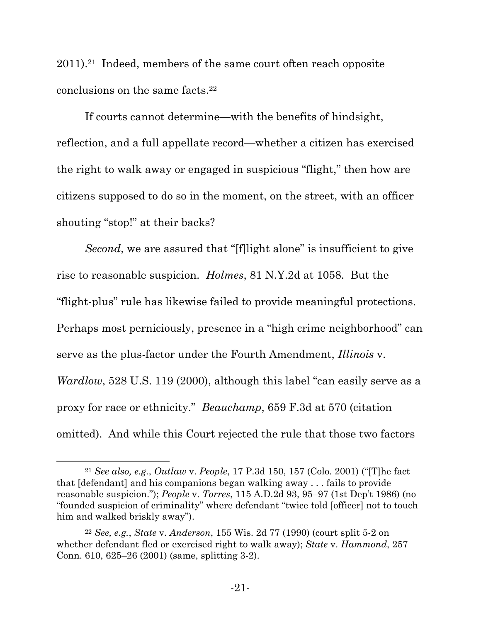2011).21 Indeed, members of the same court often reach opposite conclusions on the same facts.22

If courts cannot determine—with the benefits of hindsight, reflection, and a full appellate record—whether a citizen has exercised the right to walk away or engaged in suspicious "flight," then how are citizens supposed to do so in the moment, on the street, with an officer shouting "stop!" at their backs?

*Second*, we are assured that "[f]light alone" is insufficient to give rise to reasonable suspicion. *Holmes*, 81 N.Y.2d at 1058. But the "flight-plus" rule has likewise failed to provide meaningful protections. Perhaps most perniciously, presence in a "high crime neighborhood" can serve as the plus-factor under the Fourth Amendment, *Illinois* v. *Wardlow*, 528 U.S. 119 (2000), although this label "can easily serve as a proxy for race or ethnicity." *Beauchamp*, 659 F.3d at 570 (citation omitted). And while this Court rejected the rule that those two factors

<sup>21</sup> *See also, e.g.*, *Outlaw* v. *People*, 17 P.3d 150, 157 (Colo. 2001) ("[T]he fact that [defendant] and his companions began walking away . . . fails to provide reasonable suspicion."); *People* v. *Torres*, 115 A.D.2d 93, 95–97 (1st Dep't 1986) (no "founded suspicion of criminality" where defendant "twice told [officer] not to touch him and walked briskly away").

<sup>22</sup> *See, e.g.*, *State* v. *Anderson*, 155 Wis. 2d 77 (1990) (court split 5-2 on whether defendant fled or exercised right to walk away); *State* v. *Hammond*, 257 Conn. 610, 625–26 (2001) (same, splitting 3-2).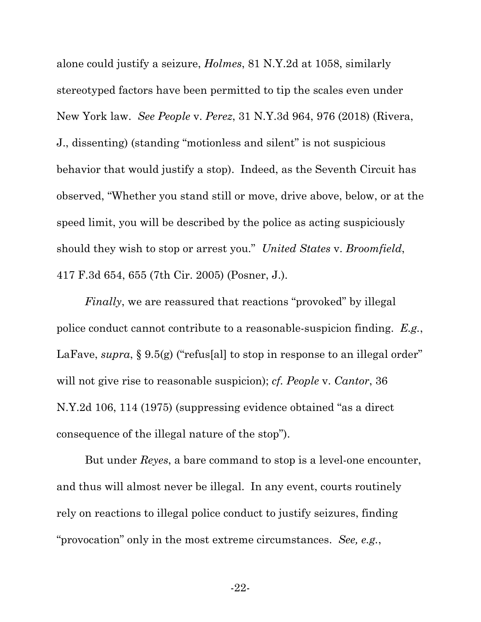alone could justify a seizure, *Holmes*, 81 N.Y.2d at 1058, similarly stereotyped factors have been permitted to tip the scales even under New York law. *See People* v. *Perez*, 31 N.Y.3d 964, 976 (2018) (Rivera, J., dissenting) (standing "motionless and silent" is not suspicious behavior that would justify a stop). Indeed, as the Seventh Circuit has observed, "Whether you stand still or move, drive above, below, or at the speed limit, you will be described by the police as acting suspiciously should they wish to stop or arrest you." *United States* v. *Broomfield*, 417 F.3d 654, 655 (7th Cir. 2005) (Posner, J.).

*Finally*, we are reassured that reactions "provoked" by illegal police conduct cannot contribute to a reasonable-suspicion finding. *E.g.*, LaFave, *supra*, § 9.5(g) ("refus[al] to stop in response to an illegal order" will not give rise to reasonable suspicion); *cf. People* v. *Cantor*, 36 N.Y.2d 106, 114 (1975) (suppressing evidence obtained "as a direct consequence of the illegal nature of the stop").

But under *Reyes*, a bare command to stop is a level-one encounter, and thus will almost never be illegal. In any event, courts routinely rely on reactions to illegal police conduct to justify seizures, finding "provocation" only in the most extreme circumstances. *See, e.g.*,

-22-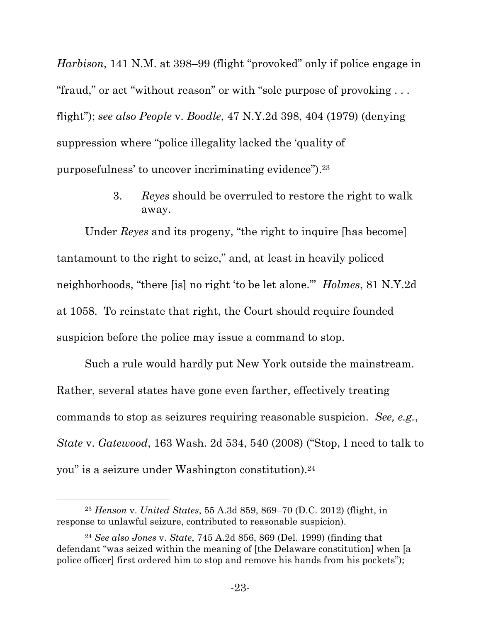*Harbison*, 141 N.M. at 398–99 (flight "provoked" only if police engage in "fraud," or act "without reason" or with "sole purpose of provoking . . . flight"); *see also People* v. *Boodle*, 47 N.Y.2d 398, 404 (1979) (denying suppression where "police illegality lacked the 'quality of purposefulness' to uncover incriminating evidence").23

> 3. *Reyes* should be overruled to restore the right to walk away.

Under *Reyes* and its progeny, "the right to inquire [has become] tantamount to the right to seize," and, at least in heavily policed neighborhoods, "there [is] no right 'to be let alone.'" *Holmes*, 81 N.Y.2d at 1058. To reinstate that right, the Court should require founded suspicion before the police may issue a command to stop.

Such a rule would hardly put New York outside the mainstream. Rather, several states have gone even farther, effectively treating commands to stop as seizures requiring reasonable suspicion. *See, e.g.*, *State* v. *Gatewood*, 163 Wash. 2d 534, 540 (2008) ("Stop, I need to talk to you" is a seizure under Washington constitution).24

<sup>23</sup> *Henson* v. *United States*, 55 A.3d 859, 869–70 (D.C. 2012) (flight, in response to unlawful seizure, contributed to reasonable suspicion).

<sup>24</sup> *See also Jones* v. *State*, 745 A.2d 856, 869 (Del. 1999) (finding that defendant "was seized within the meaning of [the Delaware constitution] when [a police officer] first ordered him to stop and remove his hands from his pockets");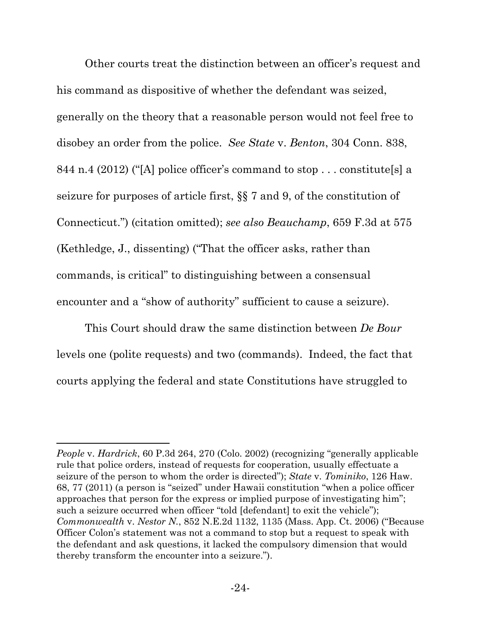Other courts treat the distinction between an officer's request and his command as dispositive of whether the defendant was seized, generally on the theory that a reasonable person would not feel free to disobey an order from the police. *See State* v. *Benton*, 304 Conn. 838, 844 n.4 (2012) ("[A] police officer's command to stop . . . constitute[s] a seizure for purposes of article first, §§ 7 and 9, of the constitution of Connecticut.") (citation omitted); *see also Beauchamp*, 659 F.3d at 575 (Kethledge, J., dissenting) ("That the officer asks, rather than commands, is critical" to distinguishing between a consensual encounter and a "show of authority" sufficient to cause a seizure).

This Court should draw the same distinction between *De Bour* levels one (polite requests) and two (commands). Indeed, the fact that courts applying the federal and state Constitutions have struggled to

*People* v. *Hardrick*, 60 P.3d 264, 270 (Colo. 2002) (recognizing "generally applicable rule that police orders, instead of requests for cooperation, usually effectuate a seizure of the person to whom the order is directed"); *State* v. *Tominiko*, 126 Haw. 68, 77 (2011) (a person is "seized" under Hawaii constitution "when a police officer approaches that person for the express or implied purpose of investigating him"; such a seizure occurred when officer "told [defendant] to exit the vehicle"); *Commonwealth* v. *Nestor N.*, 852 N.E.2d 1132, 1135 (Mass. App. Ct. 2006) ("Because Officer Colon's statement was not a command to stop but a request to speak with the defendant and ask questions, it lacked the compulsory dimension that would thereby transform the encounter into a seizure.").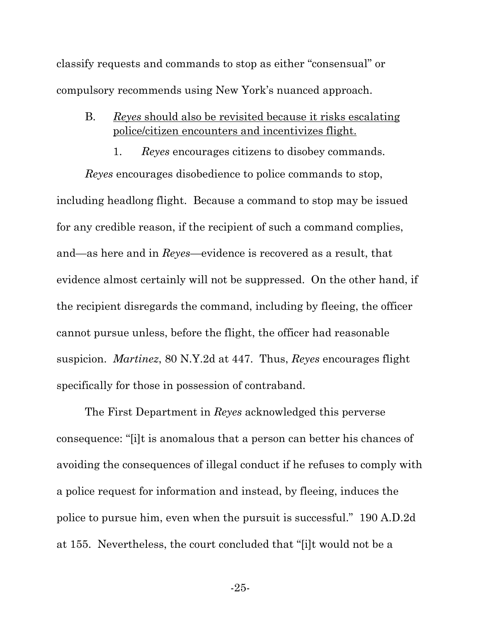classify requests and commands to stop as either "consensual" or compulsory recommends using New York's nuanced approach.

- B. *Reyes* should also be revisited because it risks escalating police/citizen encounters and incentivizes flight.
	- 1. *Reyes* encourages citizens to disobey commands.

*Reyes* encourages disobedience to police commands to stop, including headlong flight. Because a command to stop may be issued for any credible reason, if the recipient of such a command complies, and—as here and in *Reyes*—evidence is recovered as a result, that evidence almost certainly will not be suppressed. On the other hand, if the recipient disregards the command, including by fleeing, the officer cannot pursue unless, before the flight, the officer had reasonable suspicion. *Martinez*, 80 N.Y.2d at 447. Thus, *Reyes* encourages flight specifically for those in possession of contraband.

The First Department in *Reyes* acknowledged this perverse consequence: "[i]t is anomalous that a person can better his chances of avoiding the consequences of illegal conduct if he refuses to comply with a police request for information and instead, by fleeing, induces the police to pursue him, even when the pursuit is successful." 190 A.D.2d at 155. Nevertheless, the court concluded that "[i]t would not be a

-25-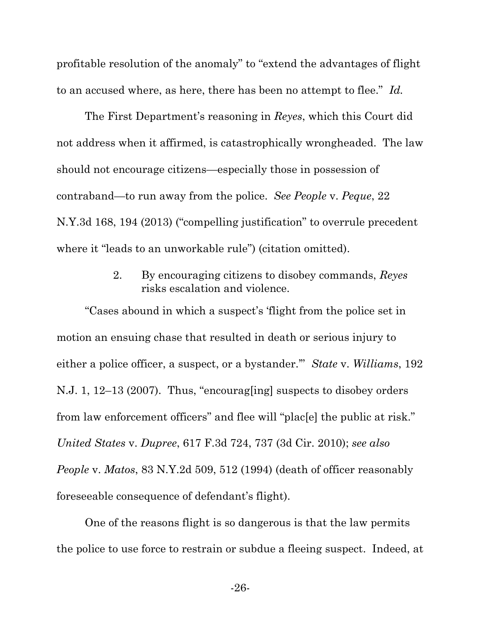profitable resolution of the anomaly" to "extend the advantages of flight to an accused where, as here, there has been no attempt to flee." *Id.*

The First Department's reasoning in *Reyes*, which this Court did not address when it affirmed, is catastrophically wrongheaded. The law should not encourage citizens—especially those in possession of contraband—to run away from the police. *See People* v. *Peque*, 22 N.Y.3d 168, 194 (2013) ("compelling justification" to overrule precedent where it "leads to an unworkable rule") (citation omitted).

> 2. By encouraging citizens to disobey commands, *Reyes* risks escalation and violence.

"Cases abound in which a suspect's 'flight from the police set in motion an ensuing chase that resulted in death or serious injury to either a police officer, a suspect, or a bystander.'" *State* v. *Williams*, 192 N.J. 1, 12–13 (2007). Thus, "encourag[ing] suspects to disobey orders from law enforcement officers" and flee will "plac[e] the public at risk." *United States* v. *Dupree*, 617 F.3d 724, 737 (3d Cir. 2010); *see also People* v. *Matos*, 83 N.Y.2d 509, 512 (1994) (death of officer reasonably foreseeable consequence of defendant's flight).

One of the reasons flight is so dangerous is that the law permits the police to use force to restrain or subdue a fleeing suspect. Indeed, at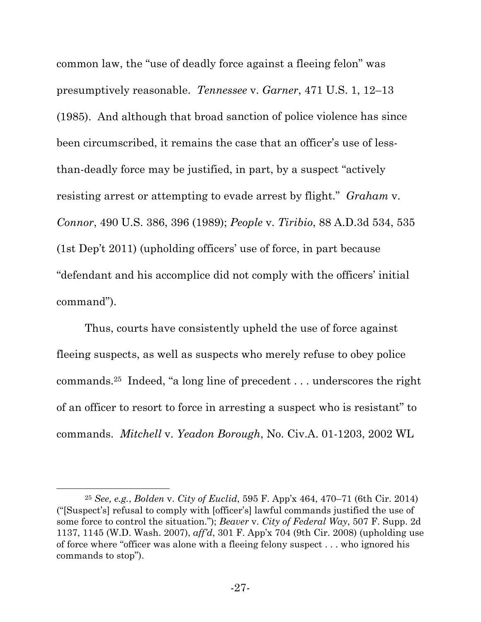common law, the "use of deadly force against a fleeing felon" was presumptively reasonable. *Tennessee* v. *Garner*, 471 U.S. 1, 12–13 (1985). And although that broad sanction of police violence has since been circumscribed, it remains the case that an officer's use of lessthan-deadly force may be justified, in part, by a suspect "actively resisting arrest or attempting to evade arrest by flight." *Graham* v. *Connor*, 490 U.S. 386, 396 (1989); *People* v. *Tiribio*, 88 A.D.3d 534, 535 (1st Dep't 2011) (upholding officers' use of force, in part because "defendant and his accomplice did not comply with the officers' initial command").

Thus, courts have consistently upheld the use of force against fleeing suspects, as well as suspects who merely refuse to obey police commands.25 Indeed, "a long line of precedent . . . underscores the right of an officer to resort to force in arresting a suspect who is resistant" to commands. *Mitchell* v. *Yeadon Borough*, No. Civ.A. 01-1203, 2002 WL

<sup>25</sup> *See, e.g.*, *Bolden* v. *City of Euclid*, 595 F. App'x 464, 470–71 (6th Cir. 2014) ("[Suspect's] refusal to comply with [officer's] lawful commands justified the use of some force to control the situation."); *Beaver* v. *City of Federal Way*, 507 F. Supp. 2d 1137, 1145 (W.D. Wash. 2007), *aff'd*, 301 F. App'x 704 (9th Cir. 2008) (upholding use of force where "officer was alone with a fleeing felony suspect . . . who ignored his commands to stop").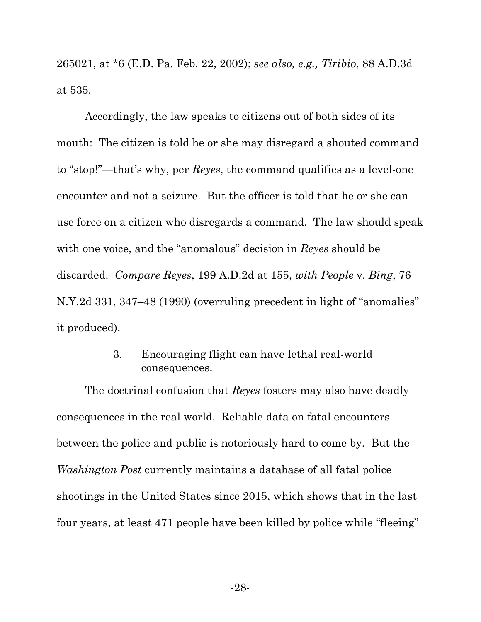265021, at \*6 (E.D. Pa. Feb. 22, 2002); *see also, e.g., Tiribio*, 88 A.D.3d at 535.

Accordingly, the law speaks to citizens out of both sides of its mouth: The citizen is told he or she may disregard a shouted command to "stop!"—that's why, per *Reyes*, the command qualifies as a level-one encounter and not a seizure. But the officer is told that he or she can use force on a citizen who disregards a command. The law should speak with one voice, and the "anomalous" decision in *Reyes* should be discarded. *Compare Reyes*, 199 A.D.2d at 155, *with People* v. *Bing*, 76 N.Y.2d 331, 347–48 (1990) (overruling precedent in light of "anomalies" it produced).

> 3. Encouraging flight can have lethal real-world consequences.

The doctrinal confusion that *Reyes* fosters may also have deadly consequences in the real world. Reliable data on fatal encounters between the police and public is notoriously hard to come by. But the *Washington Post* currently maintains a database of all fatal police shootings in the United States since 2015, which shows that in the last four years, at least 471 people have been killed by police while "fleeing"

-28-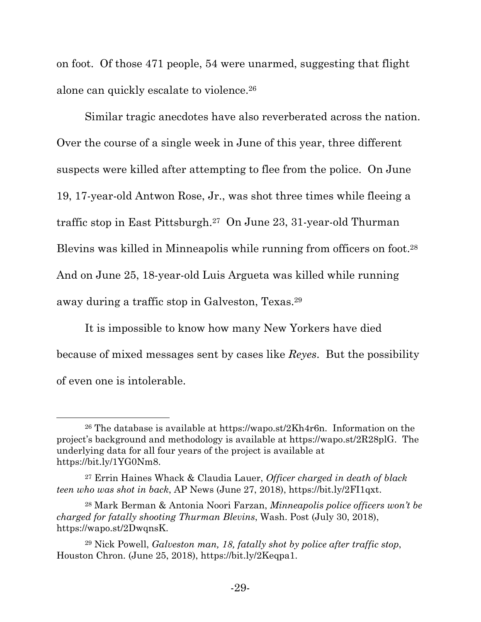on foot. Of those 471 people, 54 were unarmed, suggesting that flight alone can quickly escalate to violence.26

Similar tragic anecdotes have also reverberated across the nation. Over the course of a single week in June of this year, three different suspects were killed after attempting to flee from the police. On June 19, 17-year-old Antwon Rose, Jr., was shot three times while fleeing a traffic stop in East Pittsburgh.27 On June 23, 31-year-old Thurman Blevins was killed in Minneapolis while running from officers on foot.28 And on June 25, 18-year-old Luis Argueta was killed while running away during a traffic stop in Galveston, Texas.29

It is impossible to know how many New Yorkers have died because of mixed messages sent by cases like *Reyes*. But the possibility of even one is intolerable.

<sup>&</sup>lt;sup>26</sup> The database is available at https://wapo.st/2Kh4r6n. Information on the project's background and methodology is available at https://wapo.st/2R28plG. The underlying data for all four years of the project is available at https://bit.ly/1YG0Nm8.

<sup>27</sup> Errin Haines Whack & Claudia Lauer, *Officer charged in death of black teen who was shot in back*, AP News (June 27, 2018), https://bit.ly/2FI1qxt.

<sup>28</sup> Mark Berman & Antonia Noori Farzan, *Minneapolis police officers won't be charged for fatally shooting Thurman Blevins*, Wash. Post (July 30, 2018), https://wapo.st/2DwqnsK.

<sup>29</sup> Nick Powell, *Galveston man, 18, fatally shot by police after traffic stop*, Houston Chron. (June 25, 2018), https://bit.ly/2Keqpa1.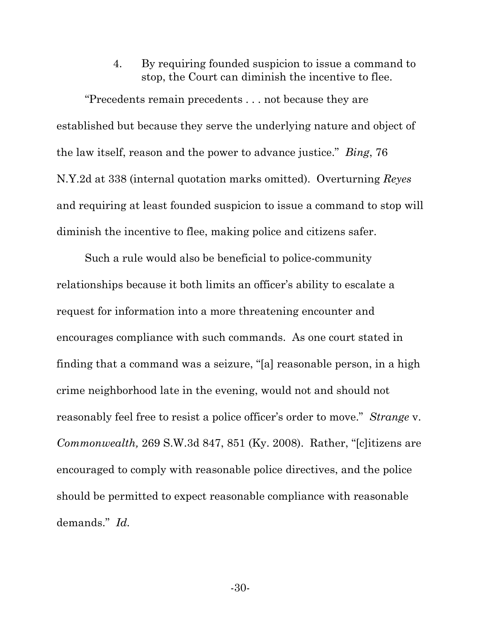4. By requiring founded suspicion to issue a command to stop, the Court can diminish the incentive to flee.

"Precedents remain precedents . . . not because they are established but because they serve the underlying nature and object of the law itself, reason and the power to advance justice." *Bing*, 76 N.Y.2d at 338 (internal quotation marks omitted). Overturning *Reyes* and requiring at least founded suspicion to issue a command to stop will diminish the incentive to flee, making police and citizens safer.

Such a rule would also be beneficial to police-community relationships because it both limits an officer's ability to escalate a request for information into a more threatening encounter and encourages compliance with such commands. As one court stated in finding that a command was a seizure, "[a] reasonable person, in a high crime neighborhood late in the evening, would not and should not reasonably feel free to resist a police officer's order to move." *Strange* v. *Commonwealth,* 269 S.W.3d 847, 851 (Ky. 2008). Rather, "[c]itizens are encouraged to comply with reasonable police directives, and the police should be permitted to expect reasonable compliance with reasonable demands." *Id.*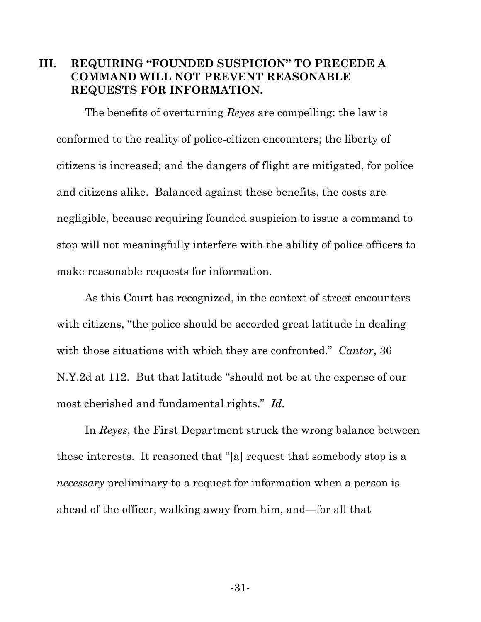### **III. REQUIRING "FOUNDED SUSPICION" TO PRECEDE A COMMAND WILL NOT PREVENT REASONABLE REQUESTS FOR INFORMATION.**

The benefits of overturning *Reyes* are compelling: the law is conformed to the reality of police-citizen encounters; the liberty of citizens is increased; and the dangers of flight are mitigated, for police and citizens alike. Balanced against these benefits, the costs are negligible, because requiring founded suspicion to issue a command to stop will not meaningfully interfere with the ability of police officers to make reasonable requests for information.

As this Court has recognized, in the context of street encounters with citizens, "the police should be accorded great latitude in dealing with those situations with which they are confronted." *Cantor*, 36 N.Y.2d at 112. But that latitude "should not be at the expense of our most cherished and fundamental rights." *Id.*

In *Reyes*, the First Department struck the wrong balance between these interests. It reasoned that "[a] request that somebody stop is a *necessary* preliminary to a request for information when a person is ahead of the officer, walking away from him, and—for all that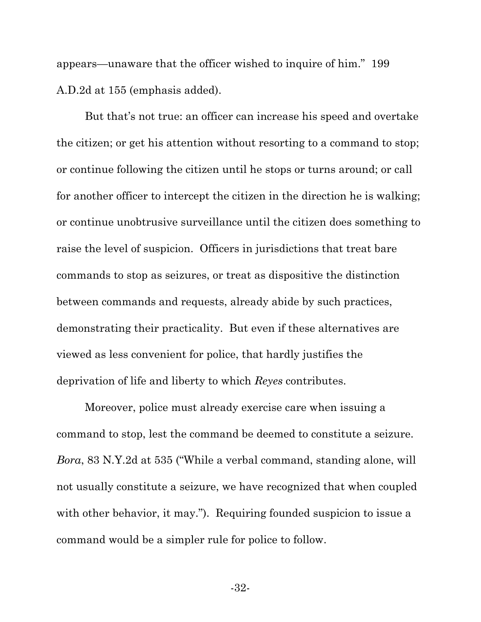appears—unaware that the officer wished to inquire of him." 199 A.D.2d at 155 (emphasis added).

But that's not true: an officer can increase his speed and overtake the citizen; or get his attention without resorting to a command to stop; or continue following the citizen until he stops or turns around; or call for another officer to intercept the citizen in the direction he is walking; or continue unobtrusive surveillance until the citizen does something to raise the level of suspicion. Officers in jurisdictions that treat bare commands to stop as seizures, or treat as dispositive the distinction between commands and requests, already abide by such practices, demonstrating their practicality. But even if these alternatives are viewed as less convenient for police, that hardly justifies the deprivation of life and liberty to which *Reyes* contributes.

Moreover, police must already exercise care when issuing a command to stop, lest the command be deemed to constitute a seizure. *Bora*, 83 N.Y.2d at 535 ("While a verbal command, standing alone, will not usually constitute a seizure, we have recognized that when coupled with other behavior, it may."). Requiring founded suspicion to issue a command would be a simpler rule for police to follow.

-32-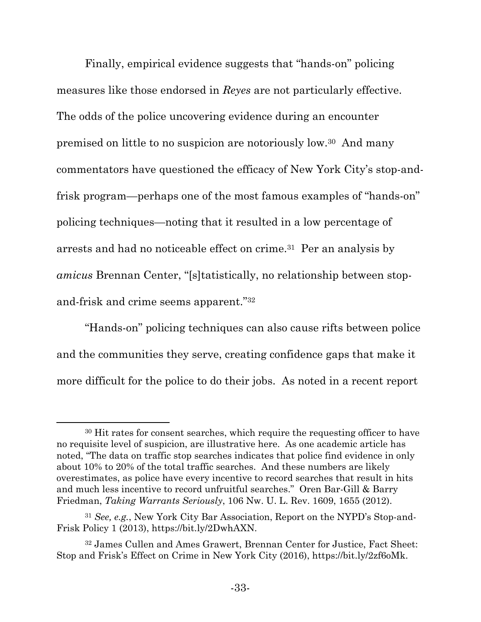Finally, empirical evidence suggests that "hands-on" policing measures like those endorsed in *Reyes* are not particularly effective. The odds of the police uncovering evidence during an encounter premised on little to no suspicion are notoriously low.30 And many commentators have questioned the efficacy of New York City's stop-andfrisk program—perhaps one of the most famous examples of "hands-on" policing techniques—noting that it resulted in a low percentage of arrests and had no noticeable effect on crime.31 Per an analysis by *amicus* Brennan Center, "[s]tatistically, no relationship between stopand-frisk and crime seems apparent."32

"Hands-on" policing techniques can also cause rifts between police and the communities they serve, creating confidence gaps that make it more difficult for the police to do their jobs. As noted in a recent report

<sup>30</sup> Hit rates for consent searches, which require the requesting officer to have no requisite level of suspicion, are illustrative here. As one academic article has noted, "The data on traffic stop searches indicates that police find evidence in only about 10% to 20% of the total traffic searches. And these numbers are likely overestimates, as police have every incentive to record searches that result in hits and much less incentive to record unfruitful searches." Oren Bar-Gill & Barry Friedman, *Taking Warrants Seriously*, 106 Nw. U. L. Rev. 1609, 1655 (2012).

<sup>31</sup> *See, e.g.*, New York City Bar Association, Report on the NYPD's Stop-and-Frisk Policy 1 (2013), https://bit.ly/2DwhAXN.

<sup>32</sup> James Cullen and Ames Grawert, Brennan Center for Justice, Fact Sheet: Stop and Frisk's Effect on Crime in New York City (2016), https://bit.ly/2zf6oMk.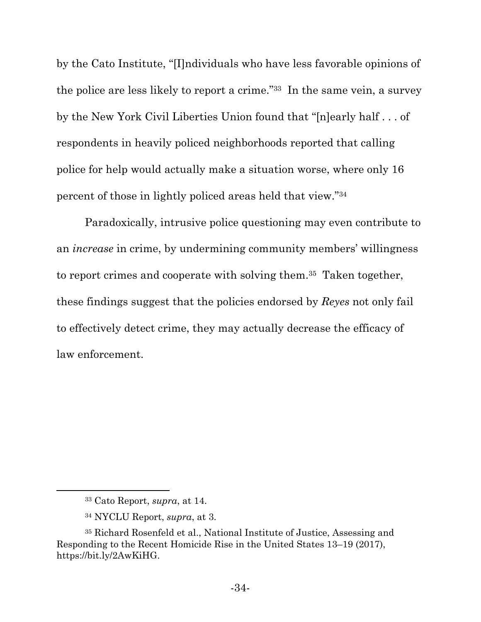by the Cato Institute, "[I]ndividuals who have less favorable opinions of the police are less likely to report a crime."33 In the same vein, a survey by the New York Civil Liberties Union found that "[n]early half . . . of respondents in heavily policed neighborhoods reported that calling police for help would actually make a situation worse, where only 16 percent of those in lightly policed areas held that view."34

Paradoxically, intrusive police questioning may even contribute to an *increase* in crime, by undermining community members' willingness to report crimes and cooperate with solving them.35 Taken together, these findings suggest that the policies endorsed by *Reyes* not only fail to effectively detect crime, they may actually decrease the efficacy of law enforcement.

<sup>33</sup> Cato Report, *supra*, at 14.

<sup>34</sup> NYCLU Report, *supra*, at 3.

<sup>35</sup> Richard Rosenfeld et al., National Institute of Justice, Assessing and Responding to the Recent Homicide Rise in the United States 13–19 (2017), https://bit.ly/2AwKiHG.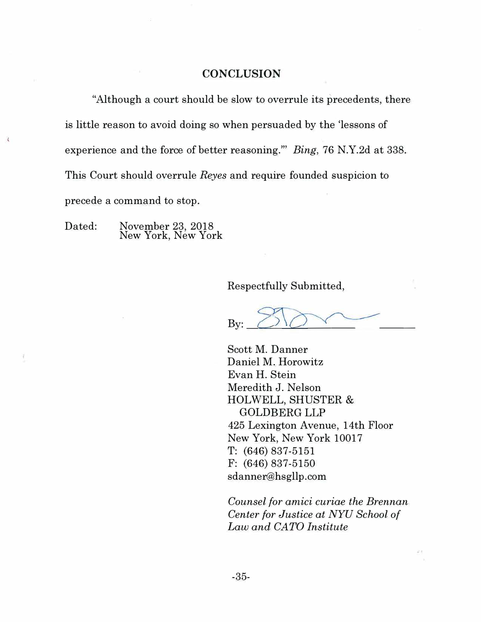#### **CONCLUSION**

"Although a court should be slow to overrule its precedents, there is little reason to avoid doing so when persuaded by the 'lessons of experience and the force of better reasoning."' *Bing,* 76 N.Y.2d at 338. This Court should overrule *Reyes* and require founded suspicion to precede a command to stop.

Dated: November 23, 2018 New York, New York

 $\tilde{\chi}$ 

Respectfully Submitted,

By:  $\bigcirc \vee \bigcirc \vee \bigcirc$ 

Scott M. Danner Daniel M. Horowitz Evan H. Stein Meredith J. Nelson HOLWELL, SHUSTER & GOLDBERG LLP 425 Lexington Avenue, 14th Floor New York, New York 10017 T: (646) 837-5151 F: (646) 837-5150 sdanner@hsgllp.com

*Counsel for amici curiae the Brennan Center for Justice at NYU School of Law and CATO Institute*